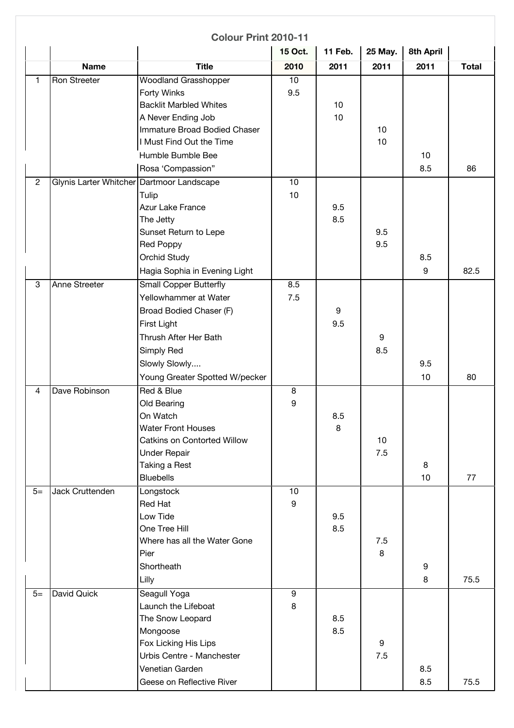|                |                        | <b>Colour Print 2010-11</b>    |                |                |         |           |              |
|----------------|------------------------|--------------------------------|----------------|----------------|---------|-----------|--------------|
|                |                        |                                | 15 Oct.        | <b>11 Feb.</b> | 25 May. | 8th April |              |
|                | <b>Name</b>            | <b>Title</b>                   | 2010           | 2011           | 2011    | 2011      | <b>Total</b> |
| $\mathbf{1}$   | Ron Streeter           | <b>Woodland Grasshopper</b>    | 10             |                |         |           |              |
|                |                        | Forty Winks                    | 9.5            |                |         |           |              |
|                |                        | <b>Backlit Marbled Whites</b>  |                | 10             |         |           |              |
|                |                        | A Never Ending Job             |                | 10             |         |           |              |
|                |                        | Immature Broad Bodied Chaser   |                |                | 10      |           |              |
|                |                        | I Must Find Out the Time       |                |                | 10      |           |              |
|                |                        | Humble Bumble Bee              |                |                |         | 10        |              |
|                |                        | Rosa 'Compassion"              |                |                |         | 8.5       | 86           |
| $\overline{2}$ | Glynis Larter Whitcher | Dartmoor Landscape             | 10             |                |         |           |              |
|                |                        | Tulip                          | 10             |                |         |           |              |
|                |                        | Azur Lake France               |                | 9.5            |         |           |              |
|                |                        | The Jetty                      |                | 8.5            |         |           |              |
|                |                        | Sunset Return to Lepe          |                |                | 9.5     |           |              |
|                |                        | <b>Red Poppy</b>               |                |                | 9.5     |           |              |
|                |                        | <b>Orchid Study</b>            |                |                |         | 8.5       |              |
|                |                        | Hagia Sophia in Evening Light  |                |                |         | 9         | 82.5         |
| $\overline{3}$ | <b>Anne Streeter</b>   | <b>Small Copper Butterfly</b>  | 8.5            |                |         |           |              |
|                |                        | Yellowhammer at Water          | 7.5            |                |         |           |              |
|                |                        | Broad Bodied Chaser (F)        |                | 9              |         |           |              |
|                |                        | First Light                    |                | 9.5            |         |           |              |
|                |                        | Thrush After Her Bath          |                |                | 9       |           |              |
|                |                        | Simply Red                     |                |                | 8.5     |           |              |
|                |                        | Slowly Slowly                  |                |                |         | 9.5       |              |
|                |                        | Young Greater Spotted W/pecker |                |                |         | 10        | 80           |
| $\overline{4}$ | Dave Robinson          | Red & Blue                     | 8              |                |         |           |              |
|                |                        | Old Bearing                    | 9              |                |         |           |              |
|                |                        | On Watch                       |                | 8.5            |         |           |              |
|                |                        | <b>Water Front Houses</b>      |                | 8              |         |           |              |
|                |                        | Catkins on Contorted Willow    |                |                | 10      |           |              |
|                |                        | <b>Under Repair</b>            |                |                | 7.5     |           |              |
|                |                        | Taking a Rest                  |                |                |         | 8         |              |
|                |                        | <b>Bluebells</b>               |                |                |         | 10        | 77           |
| $5=$           | Jack Cruttenden        | Longstock                      | 10             |                |         |           |              |
|                |                        | <b>Red Hat</b>                 | 9              |                |         |           |              |
|                |                        | Low Tide                       |                | 9.5            |         |           |              |
|                |                        | One Tree Hill                  |                | 8.5            |         |           |              |
|                |                        | Where has all the Water Gone   |                |                | 7.5     |           |              |
|                |                        | Pier                           |                |                | 8       |           |              |
|                |                        | Shortheath                     |                |                |         | 9         |              |
|                |                        | Lilly                          |                |                |         | 8         | 75.5         |
| $5=$           | David Quick            | Seagull Yoga                   | $\overline{9}$ |                |         |           |              |
|                |                        | Launch the Lifeboat            | 8              |                |         |           |              |
|                |                        | The Snow Leopard               |                | 8.5            |         |           |              |
|                |                        | Mongoose                       |                | 8.5            |         |           |              |
|                |                        | Fox Licking His Lips           |                |                | 9       |           |              |
|                |                        | Urbis Centre - Manchester      |                |                | 7.5     |           |              |
|                |                        | Venetian Garden                |                |                |         | 8.5       |              |
|                |                        | Geese on Reflective River      |                |                |         | 8.5       | 75.5         |